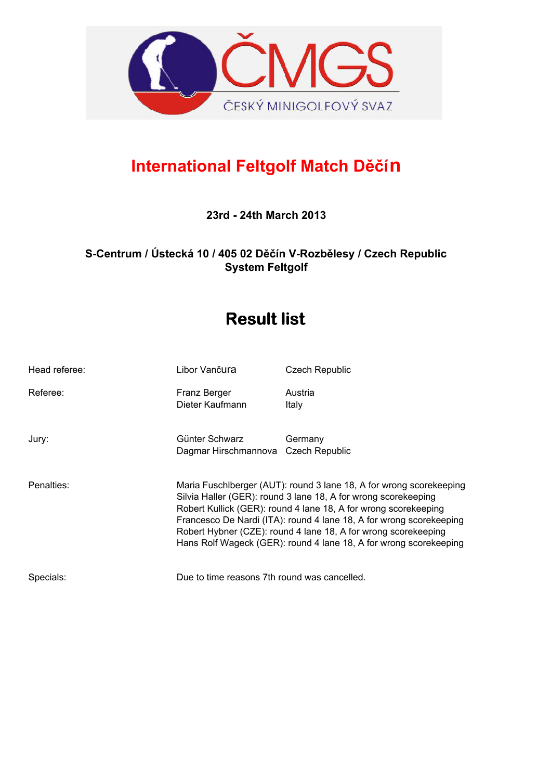

## **International Feltgolf Match Děčín**

**23rd - 24th March 2013**

**S-Centrum / Ústecká 10 / 405 02 Děčín V-Rozbělesy / Czech Republic System Feltgolf**

# **Result list**

| Head referee: | Libor Vančura                                         | <b>Czech Republic</b>                                                                                                                                                                                                                                                                                                                                                                                                  |
|---------------|-------------------------------------------------------|------------------------------------------------------------------------------------------------------------------------------------------------------------------------------------------------------------------------------------------------------------------------------------------------------------------------------------------------------------------------------------------------------------------------|
| Referee:      | Franz Berger<br>Dieter Kaufmann                       | Austria<br>Italy                                                                                                                                                                                                                                                                                                                                                                                                       |
| Jury:         | Günter Schwarz<br>Dagmar Hirschmannova Czech Republic | Germany                                                                                                                                                                                                                                                                                                                                                                                                                |
| Penalties:    |                                                       | Maria Fuschlberger (AUT): round 3 lane 18, A for wrong scorekeeping<br>Silvia Haller (GER): round 3 lane 18, A for wrong scorekeeping<br>Robert Kullick (GER): round 4 lane 18, A for wrong scorekeeping<br>Francesco De Nardi (ITA): round 4 lane 18, A for wrong scorekeeping<br>Robert Hybner (CZE): round 4 lane 18, A for wrong scorekeeping<br>Hans Rolf Wageck (GER): round 4 lane 18, A for wrong scorekeeping |
| Specials:     | Due to time reasons 7th round was cancelled.          |                                                                                                                                                                                                                                                                                                                                                                                                                        |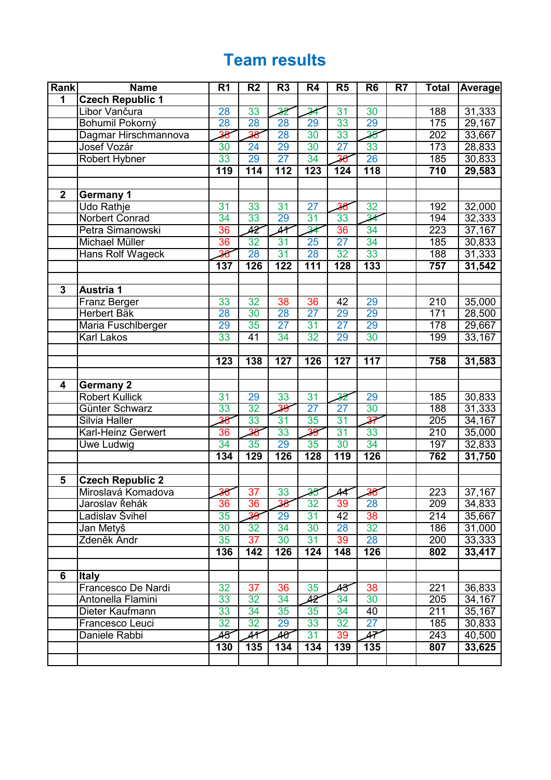# **Team results**

| Rank                    | <b>Name</b>             | R <sub>1</sub>   | R <sub>2</sub>           | R <sub>3</sub>           | R <sub>4</sub>           | R <sub>5</sub>  | R <sub>6</sub>           | R7 | <b>Total</b>     | <b>Average</b> |
|-------------------------|-------------------------|------------------|--------------------------|--------------------------|--------------------------|-----------------|--------------------------|----|------------------|----------------|
| $\overline{\mathbf{1}}$ | <b>Czech Republic 1</b> |                  |                          |                          |                          |                 |                          |    |                  |                |
|                         | Libor Vančura           | 28               | 33                       | $\overline{32}$          | $\overline{34}$          | 31              | 30                       |    | 188              | 31,333         |
|                         | Bohumil Pokorný         | 28               | 28                       | 28                       | 29                       | 33              | 29                       |    | 175              | 29,167         |
|                         | Dagmar Hirschmannova    | 38               | $\overline{36}$          | 28                       | 30                       | 33              | $\overline{\textbf{35}}$ |    | 202              | 33,667         |
|                         | Josef Vozár             | 30               | 24                       | 29                       | 30                       | $\overline{27}$ | 33                       |    | 173              | 28,833         |
|                         | Robert Hybner           | 33               | 29                       | $\overline{27}$          | 34                       |                 | 26                       |    | 185              | 30,833         |
|                         |                         | 119              | 114                      | 112                      | 123                      | 124             | $\overline{118}$         |    | 710              | 29,583         |
|                         |                         |                  |                          |                          |                          |                 |                          |    |                  |                |
| $\overline{2}$          | <b>Germany 1</b>        |                  |                          |                          |                          |                 |                          |    |                  |                |
|                         | <b>Udo Rathje</b>       | 31               | 33                       | 31                       | $\overline{27}$          | 38              | 32                       |    | 192              | 32,000         |
|                         | Norbert Conrad          | 34               | 33                       | 29                       | 31                       | 33              | $\overline{\mathcal{H}}$ |    | 194              | 32,333         |
|                         | Petra Simanowski        | 36               | 42                       | $\overline{4}$           | 34                       | 36              | 34                       |    | 223              | 37,167         |
|                         | Michael Müller          | 36               | 32                       | 31                       | 25                       | $\overline{27}$ | 34                       |    | 185              | 30,833         |
|                         | <b>Hans Rolf Wageck</b> | 36               | 28                       | 31                       | 28                       | 32              | 33                       |    | 188              | 31,333         |
|                         |                         | $\overline{137}$ | 126                      | 122                      | $\overline{111}$         | 128             | 133                      |    | 757              | 31,542         |
|                         |                         |                  |                          |                          |                          |                 |                          |    |                  |                |
| $\overline{\mathbf{3}}$ | <b>Austria 1</b>        |                  |                          |                          |                          |                 |                          |    |                  |                |
|                         | Franz Berger            | 33               | 32                       | 38                       | 36                       | 42              | 29                       |    | 210              | 35,000         |
|                         | <b>Herbert Bäk</b>      | 28               | 30                       | 28                       | 27                       | 29              | 29                       |    | 171              | 28,500         |
|                         | Maria Fuschlberger      | 29               | 35                       | 27                       | 31                       | 27              | 29                       |    | 178              | 29,667         |
|                         | Karl Lakos              | 33               | 41                       | 34                       | 32                       | 29              | 30                       |    | 199              | 33,167         |
|                         |                         |                  |                          |                          |                          |                 |                          |    |                  |                |
|                         |                         | $\overline{123}$ | 138                      | 127                      | 126                      | 127             | 117                      |    | 758              | 31,583         |
| $\overline{\mathbf{4}}$ | <b>Germany 2</b>        |                  |                          |                          |                          |                 |                          |    |                  |                |
|                         | <b>Robert Kullick</b>   | 31               | 29                       | 33                       | 31                       | 32              | 29                       |    | 185              | 30,833         |
|                         | Günter Schwarz          | 33               | 32                       | $\overline{39}$          | 27                       | $\overline{27}$ | 30                       |    | 188              | 31,333         |
|                         | Silvia Haller           | 38               | 33                       | 31                       | 35                       | 31              | 37                       |    | 205              | 34,167         |
|                         | Karl-Heinz Gerwert      | 36               | 38                       | 33                       | 39                       | 31              | 33                       |    | $\overline{210}$ | 35,000         |
|                         | Uwe Ludwig              | 34               | 35                       | 29                       | 35                       | 30              | 34                       |    | 197              | 32,833         |
|                         |                         | 134              | 129                      | 126                      | 128                      | 119             | 126                      |    | 762              | 31,750         |
|                         |                         |                  |                          |                          |                          |                 |                          |    |                  |                |
| 5                       | <b>Czech Republic 2</b> |                  |                          |                          |                          |                 |                          |    |                  |                |
|                         | Miroslavá Komadova      | 36               | 37                       | 33                       | $\overline{\mathbf{35}}$ | 44              | 38                       |    | 223              | 37,167         |
|                         | Jaroslav Řehák          | 36               | 36                       | 38                       | 32                       | 39              | 28                       |    | 209              | 34,833         |
|                         | Ladislav Švihel         | 35               | 39                       | 29                       | 31                       | 42              | 38                       |    | 214              | 35,667         |
|                         | Jan Metyš               | 30               | 32                       | 34                       | 30                       | 28              | 32                       |    | 186              | 31,000         |
|                         | Zdeněk Andr             | 35               | 37                       | 30                       | 31                       | 39              | 28                       |    | 200              | 33,333         |
|                         |                         | 136              | 142                      | 126                      | 124                      | 148             | 126                      |    | 802              | 33,417         |
|                         |                         |                  |                          |                          |                          |                 |                          |    |                  |                |
| 6                       | <b>Italy</b>            |                  |                          |                          |                          |                 |                          |    |                  |                |
|                         | Francesco De Nardi      | 32               | 37                       | 36                       | 35                       | 48              | 38                       |    | 221              | 36,833         |
|                         | Antonella Flamini       | 33               | 32                       | 34                       | 42                       | 34              | 30                       |    | 205              | 34,167         |
|                         | Dieter Kaufmann         | 33               | 34                       | 35                       | 35                       | 34              | 40                       |    | 211              | 35,167         |
|                         | Francesco Leuci         | 32               | 32                       | 29                       | 33                       | 32              | 27                       |    | 185              | 30,833         |
|                         | Daniele Rabbi           | 45               | $\overline{\mathcal{A}}$ | $\overline{\mathcal{H}}$ | 31                       | 39              | 47                       |    | 243              | 40,500         |
|                         |                         | 130              | 135                      | 134                      | 134                      | 139             | 135                      |    | 807              | 33,625         |
|                         |                         |                  |                          |                          |                          |                 |                          |    |                  |                |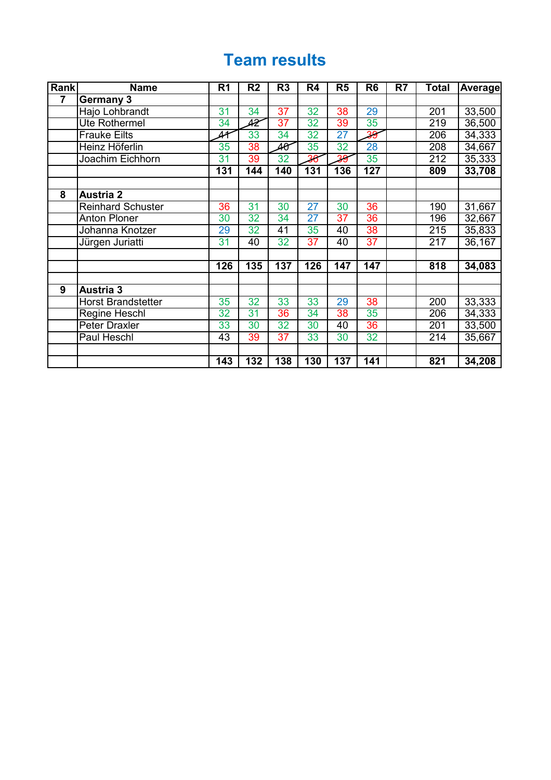## **Team results**

| Rank | <b>Name</b>               | R <sub>1</sub> | $\overline{\mathsf{R2}}$ | R <sub>3</sub>  | R <sub>4</sub>   | R <sub>5</sub>  | R <sub>6</sub>  | R7 | Total            | Average |
|------|---------------------------|----------------|--------------------------|-----------------|------------------|-----------------|-----------------|----|------------------|---------|
| 7    | <b>Germany 3</b>          |                |                          |                 |                  |                 |                 |    |                  |         |
|      | Hajo Lohbrandt            | 31             | 34                       | 37              | 32               | 38              | 29              |    | 201              | 33,500  |
|      | Ute Rothermel             | 34             | 42                       | 37              | 32               | 39              | 35              |    | 219              | 36,500  |
|      | <b>Frauke Eilts</b>       | 41             | 33                       | 34              | 32               | 27              | $\overline{39}$ |    | 206              | 34,333  |
|      | Heinz Höferlin            | 35             | 38                       | 40              | 35               | 32              | 28              |    | 208              | 34,667  |
|      | Joachim Eichhorn          | 31             | 39                       | 32              | 36               | 39              | 35              |    | 212              | 35,333  |
|      |                           | 131            | 144                      | 140             | $\overline{131}$ | 136             | 127             |    | 809              | 33,708  |
|      |                           |                |                          |                 |                  |                 |                 |    |                  |         |
| 8    | <b>Austria 2</b>          |                |                          |                 |                  |                 |                 |    |                  |         |
|      | <b>Reinhard Schuster</b>  | 36             | 31                       | 30              | $\overline{27}$  | 30              | 36              |    | 190              | 31,667  |
|      | <b>Anton Ploner</b>       | 30             | 32                       | 34              | $\overline{27}$  | $\overline{37}$ | $\overline{36}$ |    | 196              | 32,667  |
|      | Johanna Knotzer           | 29             | 32                       | $\overline{41}$ | 35               | 40              | 38              |    | $\overline{215}$ | 35,833  |
|      | Jürgen Juriatti           | 31             | 40                       | 32              | 37               | 40              | $\overline{37}$ |    | 217              | 36,167  |
|      |                           | 126            | 135                      | 137             | 126              | 147             | 147             |    | 818              | 34,083  |
| 9    | <b>Austria 3</b>          |                |                          |                 |                  |                 |                 |    |                  |         |
|      | <b>Horst Brandstetter</b> | 35             | 32                       | 33              | 33               | 29              | 38              |    | 200              | 33,333  |
|      | <b>Regine Heschl</b>      | 32             | 31                       | 36              | 34               | 38              | 35              |    | 206              | 34,333  |
|      | <b>Peter Draxler</b>      | 33             | 30                       | 32              | 30               | 40              | 36              |    | 201              | 33,500  |
|      | Paul Heschl               | 43             | 39                       | $\overline{37}$ | 33               | 30              | 32              |    | 214              | 35,667  |
|      |                           | 143            | 132                      | 138             | 130              | 137             | 141             |    | 821              | 34,208  |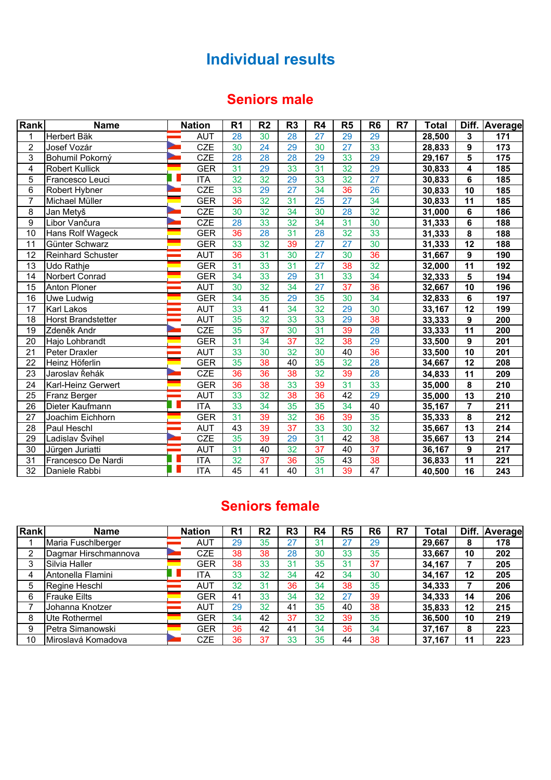## **Individual results**

## **Seniors male**

| Rank            | <b>Name</b>               | <b>Nation</b>             | R <sub>1</sub>  | R <sub>2</sub>  | R <sub>3</sub>  | R <sub>4</sub>  | R5              | R <sub>6</sub>  | R7 | <b>Total</b> | Diff.                   | Average |
|-----------------|---------------------------|---------------------------|-----------------|-----------------|-----------------|-----------------|-----------------|-----------------|----|--------------|-------------------------|---------|
| 1               | Herbert Bäk               | <b>AUT</b>                | 28              | 30              | 28              | $\overline{27}$ | 29              | 29              |    | 28,500       | $\overline{\mathbf{3}}$ | 171     |
| 2               | Josef Vozár               | <b>CZE</b>                | 30              | 24              | 29              | 30              | 27              | 33              |    | 28,833       | 9                       | 173     |
| $\overline{3}$  | Bohumil Pokorný           | <b>CZE</b>                | 28              | 28              | 28              | 29              | 33              | 29              |    | 29,167       | 5                       | 175     |
| 4               | <b>Robert Kullick</b>     | <b>GER</b>                | 31              | 29              | 33              | 31              | 32              | 29              |    | 30,833       | 4                       | 185     |
| $\overline{5}$  | Francesco Leuci           | <b>ITA</b>                | 32              | 32              | 29              | 33              | 32              | 27              |    | 30,833       | 6                       | 185     |
| 6               | Robert Hybner             | <b>CZE</b>                | 33              | 29              | 27              | 34              | 36              | 26              |    | 30,833       | $\overline{10}$         | 185     |
| $\overline{7}$  | Michael Müller            | <b>GER</b>                | 36              | 32              | 31              | $\overline{25}$ | $\overline{27}$ | 34              |    | 30,833       | 11                      | 185     |
| 8               | Jan Metyš                 | CZE                       | 30              | 32              | 34              | 30              | 28              | 32              |    | 31,000       | $6\phantom{1}6$         | 186     |
| $\overline{9}$  | Libor Vančura             | CZE                       | 28              | 33              | 32              | 34              | 31              | 30              |    | 31,333       | $6\phantom{1}$          | 188     |
| $\overline{10}$ | Hans Rolf Wageck          | <b>GER</b>                | $\overline{36}$ | 28              | 31              | 28              | 32              | 33              |    | 31,333       | $\overline{\mathbf{8}}$ | 188     |
| 11              | Günter Schwarz            | <b>GER</b>                | 33              | 32              | 39              | 27              | $\overline{27}$ | 30              |    | 31,333       | 12                      | 188     |
| $\overline{12}$ | <b>Reinhard Schuster</b>  | <b>AUT</b>                | 36              | 31              | 30              | 27              | 30              | 36              |    | 31,667       | $\boldsymbol{9}$        | 190     |
| $\overline{13}$ | <b>Udo Rathje</b>         | <b>GER</b>                | 31              | 33              | 31              | 27              | 38              | 32              |    | 32,000       | 11                      | 192     |
| 14              | Norbert Conrad            | <b>GER</b>                | 34              | 33              | 29              | 31              | 33              | 34              |    | 32,333       | $5\phantom{a}$          | 194     |
| $\overline{15}$ | Anton Ploner              | <b>AUT</b>                | 30              | 32              | 34              | $\overline{27}$ | $\overline{37}$ | 36              |    | 32,667       | 10                      | 196     |
| 16              | Uwe Ludwig                | <b>GER</b>                | 34              | 35              | 29              | 35              | 30              | 34              |    | 32,833       | $6\phantom{1}$          | 197     |
| 17              | <b>Karl Lakos</b>         | <b>AUT</b>                | 33              | 41              | 34              | 32              | 29              | 30              |    | 33,167       | 12                      | 199     |
| 18              | <b>Horst Brandstetter</b> | <b>AUT</b>                | 35              | 32              | 33              | 33              | 29              | 38              |    | 33,333       | 9                       | 200     |
| 19              | Zdeněk Andr               | <b>CZE</b>                | 35              | $\overline{37}$ | 30              | 31              | 39              | 28              |    | 33,333       | 11                      | 200     |
| 20              | Hajo Lohbrandt            | <b>GER</b>                | 31              | 34              | $\overline{37}$ | 32              | 38              | 29              |    | 33,500       | 9                       | 201     |
| 21              | Peter Draxler             | <b>AUT</b>                | 33              | 30              | 32              | 30              | 40              | 36              |    | 33,500       | 10                      | 201     |
| 22              | Heinz Höferlin            | <b>GER</b>                | 35              | 38              | 40              | 35              | 32              | 28              |    | 34,667       | 12                      | 208     |
| 23              | Jaroslav Řehák            | <b>CZE</b>                | 36              | 36              | 38              | 32              | 39              | 28              |    | 34,833       | 11                      | 209     |
| 24              | Karl-Heinz Gerwert        | <b>GER</b>                | 36              | 38              | 33              | 39              | 31              | 33              |    | 35,000       | 8                       | 210     |
| 25              | Franz Berger              | <b>AUT</b>                | 33              | 32              | 38              | 36              | 42              | 29              |    | 35,000       | 13                      | 210     |
| 26              | Dieter Kaufmann           | <b>ITA</b>                | 33              | 34              | 35              | 35              | 34              | 40              |    | 35,167       | $\overline{7}$          | 211     |
| 27              | Joachim Eichhorn          | <b>GER</b>                | 31              | 39              | 32              | 36              | 39              | 35              |    | 35,333       | 8                       | 212     |
| 28              | Paul Heschl               | <b>AUT</b>                | 43              | 39              | $\overline{37}$ | 33              | 30              | 32              |    | 35,667       | 13                      | 214     |
| 29              | Ladislav Švihel           | <b>CZE</b>                | 35              | 39              | 29              | 31              | 42              | 38              |    | 35,667       | 13                      | 214     |
| 30              | Jürgen Juriatti           | <b>AUT</b>                | 31              | 40              | 32              | 37              | 40              | $\overline{37}$ |    | 36,167       | $\boldsymbol{9}$        | 217     |
| 31              | Francesco De Nardi        | <b>ITA</b>                | 32              | $\overline{37}$ | 36              | 35              | 43              | 38              |    | 36,833       | 11                      | 221     |
| 32              | Daniele Rabbi             | $\overline{\mathsf{ITA}}$ | $\overline{45}$ | 41              | $\overline{40}$ | 31              | 39              | $\overline{47}$ |    | 40,500       | 16                      | 243     |

## **Seniors female**

| Rank | <b>Name</b>          | <b>Nation</b> | R <sub>1</sub> | R <sub>2</sub> | R <sub>3</sub> | R <sub>4</sub> | R <sub>5</sub> | R <sub>6</sub> | R7 | Total  | Diff. | Average |
|------|----------------------|---------------|----------------|----------------|----------------|----------------|----------------|----------------|----|--------|-------|---------|
|      | Maria Fuschlberger   | <b>AUT</b>    | 29             | 35             | 27             | 31             | 27             | 29             |    | 29,667 | 8     | 178     |
| C    | Dagmar Hirschmannova | CZE           | 38             | 38             | 28             | 30             | 33             | 35             |    | 33,667 | 10    | 202     |
| 3    | Silvia Haller        | GER           | 38             | 33             | 31             | 35             | 31             | 37             |    | 34,167 |       | 205     |
|      | Antonella Flamini    | <b>TA</b>     | 33             | 32             | 34             | 42             | 34             | 30             |    | 34,167 | 12    | 205     |
| 5    | Regine Heschl        | <b>AUT</b>    | 32             | 31             | 36             | 34             | 38             | 35             |    | 34,333 |       | 206     |
| 6    | <b>Frauke Eilts</b>  | GER           | 41             | 33             | 34             | 32             | 27             | 39             |    | 34,333 | 14    | 206     |
|      | Johanna Knotzer      | <b>AUT</b>    | 29             | 32             | 41             | 35             | 40             | 38             |    | 35,833 | 12    | 215     |
| 8    | Ute Rothermel        | GER           | 34             | 42             | 37             | 32             | 39             | 35             |    | 36,500 | 10    | 219     |
| 9    | Petra Simanowski     | GER           | 36             | 42             | 41             | 34             | 36             | 34             |    | 37,167 | 8     | 223     |
| 10   | Miroslavá Komadova   | CZE           | 36             | 37             | 33             | 35             | 44             | 38             |    | 37,167 | 11    | 223     |